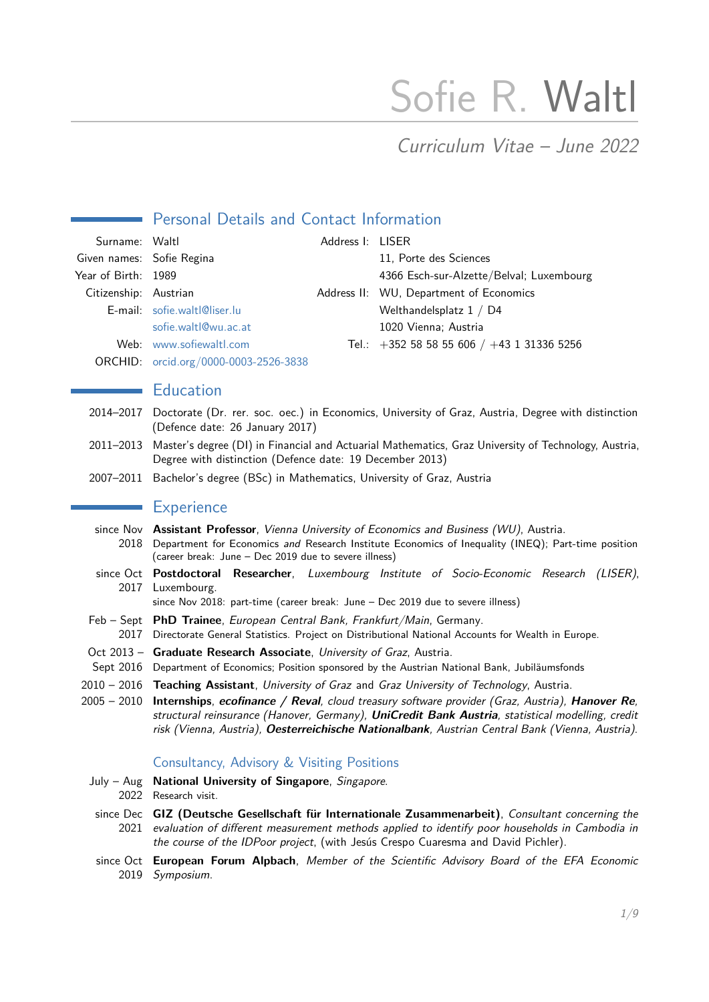# Sofie R. Waltl

## Curriculum Vitae – June 2022

## **Personal Details and Contact Information**

| Surname: Waltl            |                                       | Address I: LISER |                                            |
|---------------------------|---------------------------------------|------------------|--------------------------------------------|
| Given names: Sofie Regina |                                       |                  | 11, Porte des Sciences                     |
| Year of Birth: 1989       |                                       |                  | 4366 Esch-sur-Alzette/Belval; Luxembourg   |
| Citizenship: Austrian     |                                       |                  | Address II: WU, Department of Economics    |
|                           | E-mail: sofie.waltl@liser.lu          |                  | Welthandelsplatz 1 / D4                    |
|                           | sofie.waltl@wu.ac.at                  |                  | 1020 Vienna; Austria                       |
|                           | Web: www.sofiewaltl.com               |                  | Tel.: +352 58 58 55 606 / +43 1 31336 5256 |
|                           | ORCHID: orcid.org/0000-0003-2526-3838 |                  |                                            |

#### **Education**

- 2014–2017 Doctorate (Dr. rer. soc. oec.) in Economics, University of Graz, Austria, Degree with distinction (Defence date: 26 January 2017)
- 2011–2013 Master's degree (DI) in Financial and Actuarial Mathematics, Graz University of Technology, Austria, Degree with distinction (Defence date: 19 December 2013)
- 2007–2011 Bachelor's degree (BSc) in Mathematics, University of Graz, Austria

#### **Experience**

- since Nov **Assistant Professor**, Vienna University of Economics and Business (WU), Austria. 2018 Department for Economics and Research Institute Economics of Inequality (INEQ); Part-time position (career break: June – Dec 2019 due to severe illness)
- since Oct **Postdoctoral Researcher**, Luxembourg Institute of Socio-Economic Research (LISER), 2017 Luxembourg.

since Nov 2018: part-time (career break: June – Dec 2019 due to severe illness)

- Feb Sept **PhD Trainee**, European Central Bank, Frankfurt/Main, Germany.
- 2017 Directorate General Statistics. Project on Distributional National Accounts for Wealth in Europe.
- Oct 2013 Graduate Research Associate, University of Graz, Austria.
- Sept 2016 Department of Economics; Position sponsored by the Austrian National Bank, Jubiläumsfonds
- 2010 2016 **Teaching Assistant**, University of Graz and Graz University of Technology, Austria.

2005 – 2010 **Internships**, **ecofinance / Reval**, cloud treasury software provider (Graz, Austria), **Hanover Re**, structural reinsurance (Hanover, Germany), **UniCredit Bank Austria**, statistical modelling, credit risk (Vienna, Austria), **Oesterreichische Nationalbank**, Austrian Central Bank (Vienna, Austria).

#### Consultancy, Advisory & Visiting Positions

- July Aug **National University of Singapore**, Singapore.
	- 2022 Research visit.
- since Dec **GIZ (Deutsche Gesellschaft für Internationale Zusammenarbeit)**, Consultant concerning the 2021 evaluation of different measurement methods applied to identify poor households in Cambodia in the course of the IDPoor project, (with Jesús Crespo Cuaresma and David Pichler).
- since Oct **European Forum Alpbach**, Member of the Scientific Advisory Board of the EFA Economic 2019 Symposium.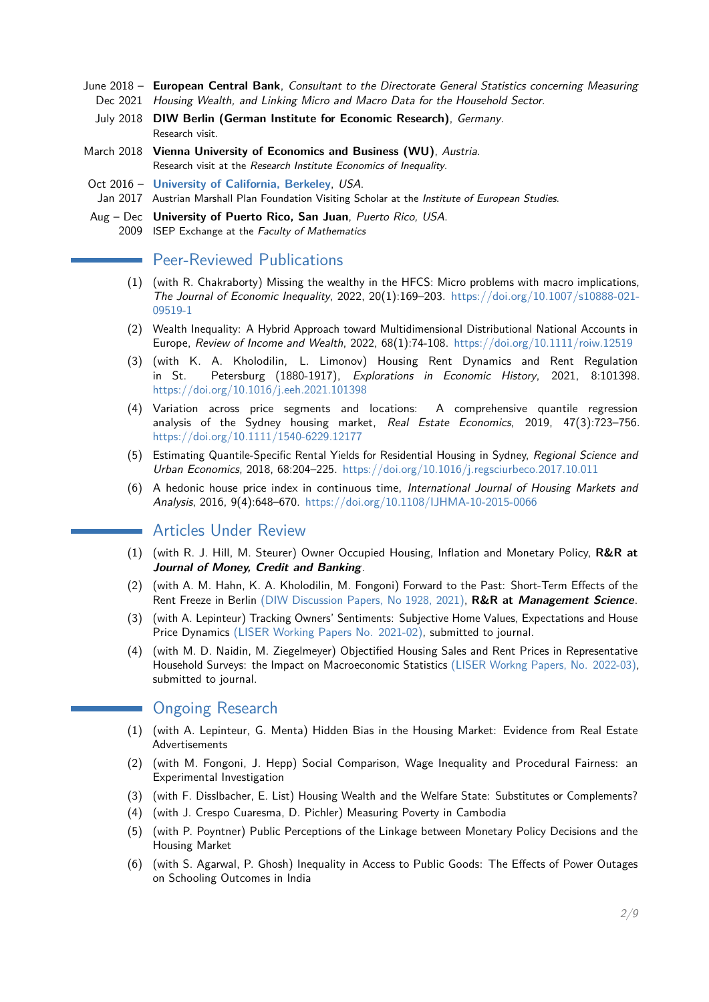- June 2018 **European Central Bank**, Consultant to the Directorate General Statistics concerning Measuring Dec 2021 Housing Wealth, and Linking Micro and Macro Data for the Household Sector.
	- July 2018 **DIW Berlin (German Institute for Economic Research)**, Germany. Research visit.
- March 2018 **Vienna University of Economics and Business (WU)**, Austria. Research visit at the Research Institute Economics of Inequality.
- Oct 2016 **[University of California, Berkeley](http://ies.berkeley.edu/people/visitingscholars/waltl.html)**, USA.

Jan 2017 Austrian Marshall Plan Foundation Visiting Scholar at the Institute of European Studies.

Aug – Dec **University of Puerto Rico, San Juan**, Puerto Rico, USA. 2009 ISEP Exchange at the Faculty of Mathematics

## **Peer-Reviewed Publications**

- (1) (with R. Chakraborty) Missing the wealthy in the HFCS: Micro problems with macro implications, The Journal of Economic Inequality, 2022, 20(1):169-203. [https://doi.org/10.1007/s10888-021-](https://doi.org/10.1007/s10888-021-09519-1) [09519-1](https://doi.org/10.1007/s10888-021-09519-1)
- (2) Wealth Inequality: A Hybrid Approach toward Multidimensional Distributional National Accounts in Europe, Review of Income and Wealth, 2022, 68(1):74-108. <https://doi.org/10.1111/roiw.12519>
- (3) (with K. A. Kholodilin, L. Limonov) Housing Rent Dynamics and Rent Regulation in St. Petersburg (1880-1917), Explorations in Economic History, 2021, 8:101398. <https://doi.org/10.1016/j.eeh.2021.101398>
- (4) Variation across price segments and locations: A comprehensive quantile regression analysis of the Sydney housing market, Real Estate Economics, 2019, 47(3):723-756. <https://doi.org/10.1111/1540-6229.12177>
- (5) Estimating Quantile-Specific Rental Yields for Residential Housing in Sydney, Regional Science and Urban Economics, 2018, 68:204–225. [https://doi.org/10.1016/j.regsciurbeco.2017.10.011](https://doi.org/10.1016/j.regsciurbeco.2017.10.011 )
- (6) A hedonic house price index in continuous time, International Journal of Housing Markets and Analysis, 2016, 9(4):648–670. <https://doi.org/10.1108/IJHMA-10-2015-0066>

## Articles Under Review

- (1) (with R. J. Hill, M. Steurer) Owner Occupied Housing, Inflation and Monetary Policy, **R&R at Journal of Money, Credit and Banking**.
- (2) (with A. M. Hahn, K. A. Kholodilin, M. Fongoni) Forward to the Past: Short-Term Effects of the Rent Freeze in Berlin [\(DIW Discussion Papers, No 1928, 2021\),](https://www.diw.de/de/diw_01.c.808954.de/publikationen/diskussionspapiere/2021_1928/forward_to_the_past__short-term_effects_of_the_rent_freeze_in_berlin.html) **R&R at Management Science**.
- (3) (with A. Lepinteur) Tracking Owners' Sentiments: Subjective Home Values, Expectations and House Price Dynamics [\(LISER Working Papers No. 2021-02\),](https://liser.elsevierpure.com/ws/files/26861864/WP_n_2021_02.pdf) submitted to journal.
- (4) (with M. D. Naidin, M. Ziegelmeyer) Objectified Housing Sales and Rent Prices in Representative Household Surveys: the Impact on Macroeconomic Statistics [\(LISER Workng Papers, No. 2022-03\),](https://liser.elsevierpure.com/en/publications/objectified-housing-sales-and-rent-prices-in-representative-house) submitted to journal.

## **Ongoing Research**

- (1) (with A. Lepinteur, G. Menta) Hidden Bias in the Housing Market: Evidence from Real Estate Advertisements
- (2) (with M. Fongoni, J. Hepp) Social Comparison, Wage Inequality and Procedural Fairness: an Experimental Investigation
- (3) (with F. Disslbacher, E. List) Housing Wealth and the Welfare State: Substitutes or Complements?
- (4) (with J. Crespo Cuaresma, D. Pichler) Measuring Poverty in Cambodia
- (5) (with P. Poyntner) Public Perceptions of the Linkage between Monetary Policy Decisions and the Housing Market
- (6) (with S. Agarwal, P. Ghosh) Inequality in Access to Public Goods: The Effects of Power Outages on Schooling Outcomes in India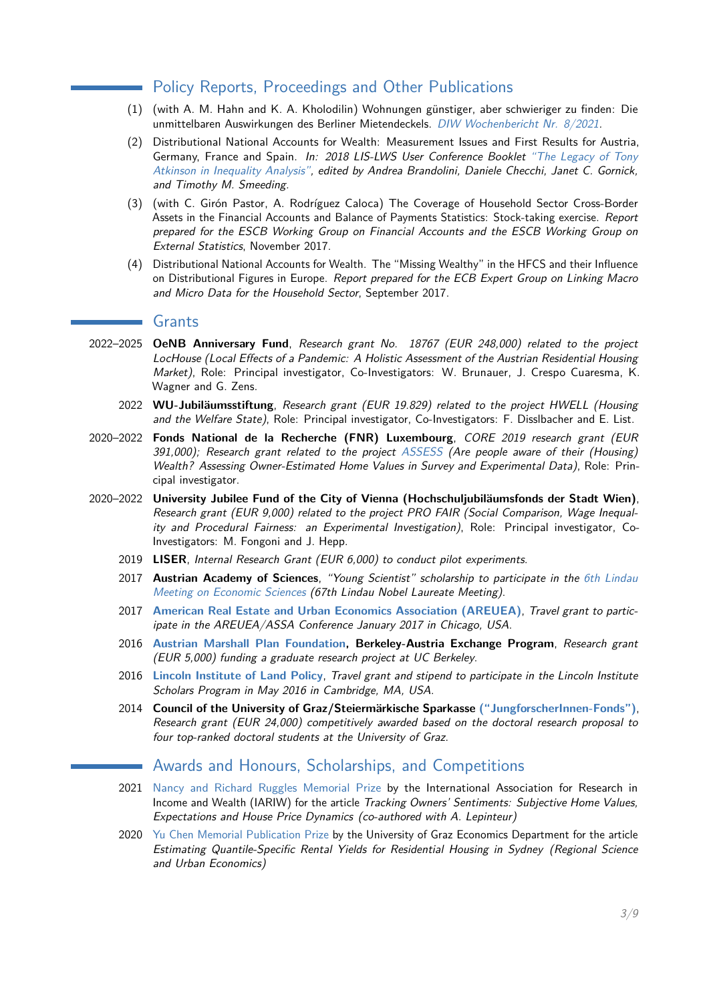### Policy Reports, Proceedings and Other Publications

- (1) (with A. M. Hahn and K. A. Kholodilin) Wohnungen günstiger, aber schwieriger zu finden: Die unmittelbaren Auswirkungen des Berliner Mietendeckels. [DIW Wochenbericht Nr. 8/2021.](https://www.diw.de/documents/publikationen/73/diw_01.c.811443.de/21-8-3.pdf)
- (2) Distributional National Accounts for Wealth: Measurement Issues and First Results for Austria, Germany, France and Spain. In: 2018 LIS-LWS User Conference Booklet ["The Legacy of Tony](https://www.lisdatacenter.org/news-and-events/the-legacy-of-tony-atkinson-in-inequality-analysis-proceedings-from-the-2018-lis-lws-user-conference/) [Atkinson in Inequality Analysis",](https://www.lisdatacenter.org/news-and-events/the-legacy-of-tony-atkinson-in-inequality-analysis-proceedings-from-the-2018-lis-lws-user-conference/) edited by Andrea Brandolini, Daniele Checchi, Janet C. Gornick, and Timothy M. Smeeding.
- (3) (with C. Girón Pastor, A. Rodríguez Caloca) The Coverage of Household Sector Cross-Border Assets in the Financial Accounts and Balance of Payments Statistics: Stock-taking exercise. Report prepared for the ESCB Working Group on Financial Accounts and the ESCB Working Group on External Statistics, November 2017.
- (4) Distributional National Accounts for Wealth. The "Missing Wealthy" in the HFCS and their Influence on Distributional Figures in Europe. Report prepared for the ECB Expert Group on Linking Macro and Micro Data for the Household Sector, September 2017.

#### **Grants**

- 2022–2025 **OeNB Anniversary Fund**, Research grant No. 18767 (EUR 248,000) related to the project LocHouse (Local Effects of a Pandemic: A Holistic Assessment of the Austrian Residential Housing Market), Role: Principal investigator, Co-Investigators: W. Brunauer, J. Crespo Cuaresma, K. Wagner and G. Zens.
	- 2022 **WU-Jubiläumsstiftung**, Research grant (EUR 19.829) related to the project HWELL (Housing and the Welfare State), Role: Principal investigator, Co-Investigators: F. Disslbacher and E. List.
- 2020–2022 **Fonds National de la Recherche (FNR) Luxembourg**, CORE 2019 research grant (EUR 391,000); Research grant related to the project [ASSESS](https://www.fnr.lu/projects/are-people-aware-of-their-housing-wealth-assessing-owner-estimated-home-values-in-survey-and-experimental-data/) (Are people aware of their (Housing) Wealth? Assessing Owner-Estimated Home Values in Survey and Experimental Data), Role: Principal investigator.
- 2020–2022 **University Jubilee Fund of the City of Vienna (Hochschuljubiläumsfonds der Stadt Wien)**, Research grant (EUR 9,000) related to the project PRO FAIR (Social Comparison, Wage Inequality and Procedural Fairness: an Experimental Investigation), Role: Principal investigator, Co-Investigators: M. Fongoni and J. Hepp.
	- 2019 **LISER**, Internal Research Grant (EUR 6,000) to conduct pilot experiments.
	- 2017 **Austrian Academy of Sciences**, "Young Scientist" scholarship to participate in the [6th Lindau](http://www.lindau-nobel.org/) [Meeting on Economic Sciences](http://www.lindau-nobel.org/) (67th Lindau Nobel Laureate Meeting).
	- 2017 **[American Real Estate and Urban Economics Association \(AREUEA\)](http://www.areuea.org/)**, Travel grant to participate in the AREUEA/ASSA Conference January 2017 in Chicago, USA.
	- 2016 **[Austrian Marshall Plan Foundation,](http://www.marshallplan.at/index.php/grants-fellowships/the-marshall-plan-scholarships) Berkeley-Austria Exchange Program**, Research grant (EUR 5,000) funding a graduate research project at UC Berkeley.
	- 2016 **[Lincoln Institute of Land Policy](http://www.lincolninst.edu/)**, Travel grant and stipend to participate in the Lincoln Institute Scholars Program in May 2016 in Cambridge, MA, USA.
	- 2014 **Council of the University of Graz/Steiermärkische Sparkasse [\("JungforscherInnen-Fonds"\)](http://derstandard.at/2000008378541/96000-Euro-fuer-Grazer-Jungforscher)**, Research grant (EUR 24,000) competitively awarded based on the doctoral research proposal to four top-ranked doctoral students at the University of Graz.

## Awards and Honours, Scholarships, and Competitions

- 2021 [Nancy and Richard Ruggles Memorial Prize](https://iariw.org/conferences/ruggles-prize/) by the International Association for Research in Income and Wealth (IARIW) for the article Tracking Owners' Sentiments: Subjective Home Values, Expectations and House Price Dynamics (co-authored with A. Lepinteur)
- 2020 [Yu Chen Memorial Publication Prize](https://fachbereich-volkswirtschaftslehre.uni-graz.at/en/research/translate-to-english-yu-chen-memorial-publication-prize/) by the University of Graz Economics Department for the article Estimating Quantile-Specific Rental Yields for Residential Housing in Sydney (Regional Science and Urban Economics)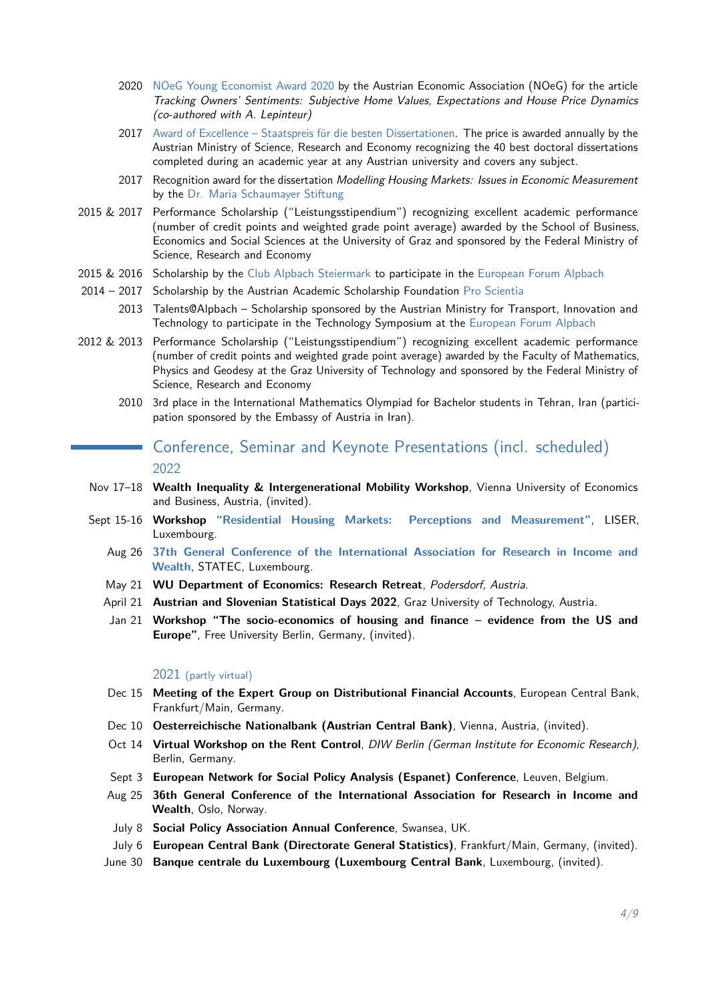- 2020 [NOeG Young Economist Award 2020](https://www.wu.ac.at/economics/news-vwl-special-pages/news-details-vwl/detail/sofie-r-waltl-receives-the-noeg-young-economist-award-2020) by the Austrian Economic Association (NOeG) for the article Tracking Owners' Sentiments: Subjective Home Values, Expectations and House Price Dynamics (co-authored with A. Lepinteur)
- 2017 [Award of Excellence Staatspreis für die besten Dissertationen.](https://wissenschaft.bmwfw.gv.at/index.php?id=3792) The price is awarded annually by the Austrian Ministry of Science, Research and Economy recognizing the 40 best doctoral dissertations completed during an academic year at any Austrian university and covers any subject.
- 2017 Recognition award for the dissertation Modelling Housing Markets: Issues in Economic Measurement by the [Dr. Maria Schaumayer Stiftung](http://www.alphafrauen.org/de/schaumayerstiftung)
- 2015 & 2017 Performance Scholarship ("Leistungsstipendium") recognizing excellent academic performance (number of credit points and weighted grade point average) awarded by the School of Business, Economics and Social Sciences at the University of Graz and sponsored by the Federal Ministry of Science, Research and Economy
- 2015 & 2016 Scholarship by the [Club Alpbach Steiermark](http://www.clubalpbachsteiermark.at/) to participate in the [European Forum Alpbach](https://www.alpbach.org/en/)
- 2014 2017 Scholarship by the Austrian Academic Scholarship Foundation [Pro Scientia](http://www.proscientia.at/)
	- 2013 Talents@Alpbach Scholarship sponsored by the Austrian Ministry for Transport, Innovation and Technology to participate in the Technology Symposium at the [European Forum Alpbach](https://www.alpbach.org/en/)
- 2012 & 2013 Performance Scholarship ("Leistungsstipendium") recognizing excellent academic performance (number of credit points and weighted grade point average) awarded by the Faculty of Mathematics, Physics and Geodesy at the Graz University of Technology and sponsored by the Federal Ministry of Science, Research and Economy
	- 2010 3rd place in the International Mathematics Olympiad for Bachelor students in Tehran, Iran (participation sponsored by the Embassy of Austria in Iran).

## Conference, Seminar and Keynote Presentations (incl. scheduled) 2022

- Nov 17–18 **Wealth Inequality & Intergenerational Mobility Workshop**, Vienna University of Economics and Business, Austria, (invited).
- Sept 15-16 **Workshop ["Residential Housing Markets: Perceptions and Measurement"](https://www.liser.lu/?type=news&id=2231)**, LISER, Luxembourg.
	- Aug 26 **[37th General Conference of the International Association for Research in Income and](http://www.iariw.org/c2018copenhagen.php) [Wealth](http://www.iariw.org/c2018copenhagen.php)**, STATEC, Luxembourg.
	- May 21 **WU Department of Economics: Research Retreat**, Podersdorf, Austria.
	- April 21 **Austrian and Slovenian Statistical Days 2022**, Graz University of Technology, Austria.
	- Jan 21 **Workshop "The socio-economics of housing and finance evidence from the US and Europe"**, Free University Berlin, Germany, (invited).

#### 2021 (partly virtual)

- Dec 15 **Meeting of the Expert Group on Distributional Financial Accounts**, European Central Bank, Frankfurt/Main, Germany.
- Dec 10 **Oesterreichische Nationalbank (Austrian Central Bank)**, Vienna, Austria, (invited).
- Oct 14 **Virtual Workshop on the Rent Control**, DIW Berlin (German Institute for Economic Research), Berlin, Germany.
- Sept 3 **European Network for Social Policy Analysis (Espanet) Conference**, Leuven, Belgium.
- Aug 25 **36th General Conference of the International Association for Research in Income and Wealth**, Oslo, Norway.
- July 8 **Social Policy Association Annual Conference**, Swansea, UK.
- July 6 **European Central Bank (Directorate General Statistics)**, Frankfurt/Main, Germany, (invited).
- June 30 **Banque centrale du Luxembourg (Luxembourg Central Bank**, Luxembourg, (invited).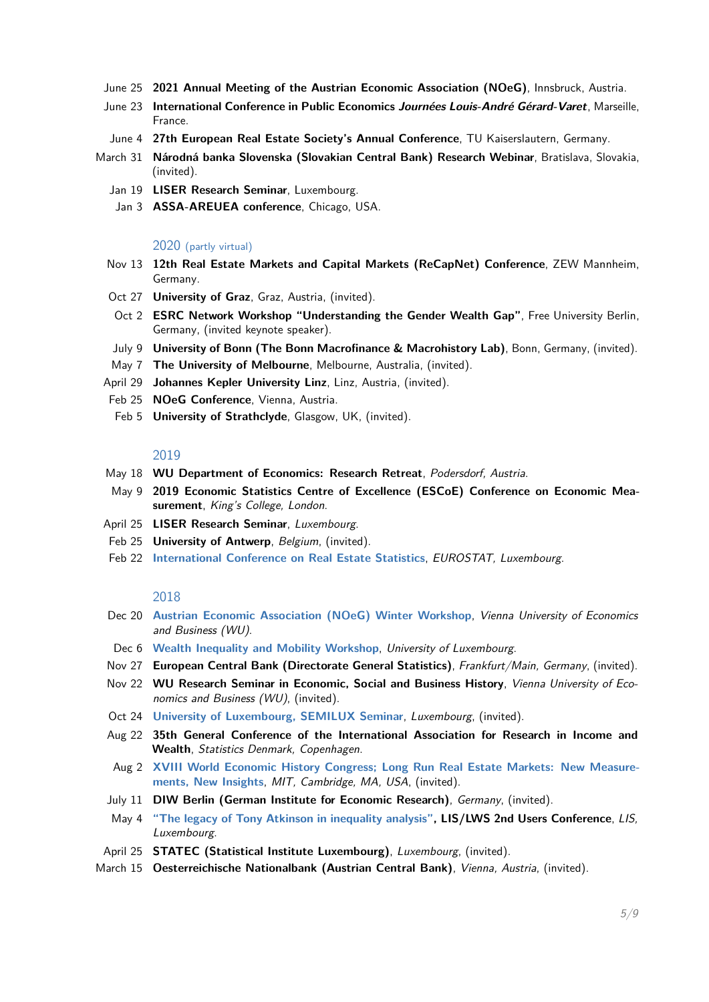- June 25 **2021 Annual Meeting of the Austrian Economic Association (NOeG)**, Innsbruck, Austria.
- June 23 **International Conference in Public Economics Journées Louis-André Gérard-Varet**, Marseille, France.
- June 4 **27th European Real Estate Society's Annual Conference**, TU Kaiserslautern, Germany.
- March 31 **Národná banka Slovenska (Slovakian Central Bank) Research Webinar**, Bratislava, Slovakia, (invited).
	- Jan 19 **LISER Research Seminar**, Luxembourg.
	- Jan 3 **ASSA-AREUEA conference**, Chicago, USA.

#### 2020 (partly virtual)

- Nov 13 **12th Real Estate Markets and Capital Markets (ReCapNet) Conference**, ZEW Mannheim, Germany.
- Oct 27 **University of Graz**, Graz, Austria, (invited).
- Oct 2 **ESRC Network Workshop "Understanding the Gender Wealth Gap"**, Free University Berlin, Germany, (invited keynote speaker).
- July 9 **University of Bonn (The Bonn Macrofinance & Macrohistory Lab)**, Bonn, Germany, (invited).
- May 7 **The University of Melbourne**, Melbourne, Australia, (invited).
- April 29 **Johannes Kepler University Linz**, Linz, Austria, (invited).
- Feb 25 **NOeG Conference**, Vienna, Austria.
- Feb 5 **University of Strathclyde**, Glasgow, UK, (invited).

#### 2019

- May 18 **WU Department of Economics: Research Retreat**, Podersdorf, Austria.
- May 9 **2019 Economic Statistics Centre of Excellence (ESCoE) Conference on Economic Measurement**, King's College, London.
- April 25 **LISER Research Seminar**, Luxembourg.
- Feb 25 **University of Antwerp**, Belgium, (invited).
- Feb 22 **[International Conference on Real Estate Statistics](https://www.real-estate-statistics.eu/)**, EUROSTAT, Luxembourg.

#### 2018

- Dec 20 **[Austrian Economic Association \(NOeG\) Winter Workshop](https://www.noeg.ac.at/konferenzen)**, Vienna University of Economics and Business (WU).
- Dec 6 **[Wealth Inequality and Mobility Workshop](https://wwwfr.uni.lu/recherche/flshase/inside/research_institutes/pearl_institute_for_research_on_socio_economic_inequality_irsei/ecsr_2018_workshop)**, University of Luxembourg.
- Nov 27 **European Central Bank (Directorate General Statistics)**, Frankfurt/Main, Germany, (invited).
- Nov 22 **WU Research Seminar in Economic, Social and Business History**, Vienna University of Economics and Business (WU), (invited).
- Oct 24 **[University of Luxembourg, SEMILUX Seminar](https://wwwfr.uni.lu/recherche/flshase/inside/research_institutes/pearl_institute_for_research_on_socio_economic_inequality_irsei/semilux_seminars)**, Luxembourg, (invited).
- Aug 22 **35th General Conference of the International Association for Research in Income and Wealth**, Statistics Denmark, Copenhagen.
- Aug 2 **[XVIII World Economic History Congress; Long Run Real Estate Markets: New Measure](http://wehc2018.org/long-run-real-estate-markets-new-measurements-new-insights/)[ments, New Insights](http://wehc2018.org/long-run-real-estate-markets-new-measurements-new-insights/)**, MIT, Cambridge, MA, USA, (invited).
- July 11 **DIW Berlin (German Institute for Economic Research)**, Germany, (invited).
- May 4 **["The legacy of Tony Atkinson in inequality analysis",](http://www.lisdatacenter.org/news-and-events/events/conferences/2018-user-conference/) LIS/LWS 2nd Users Conference**, LIS, Luxembourg.
- April 25 **STATEC (Statistical Institute Luxembourg)**, Luxembourg, (invited).
- March 15 **Oesterreichische Nationalbank (Austrian Central Bank)**, Vienna, Austria, (invited).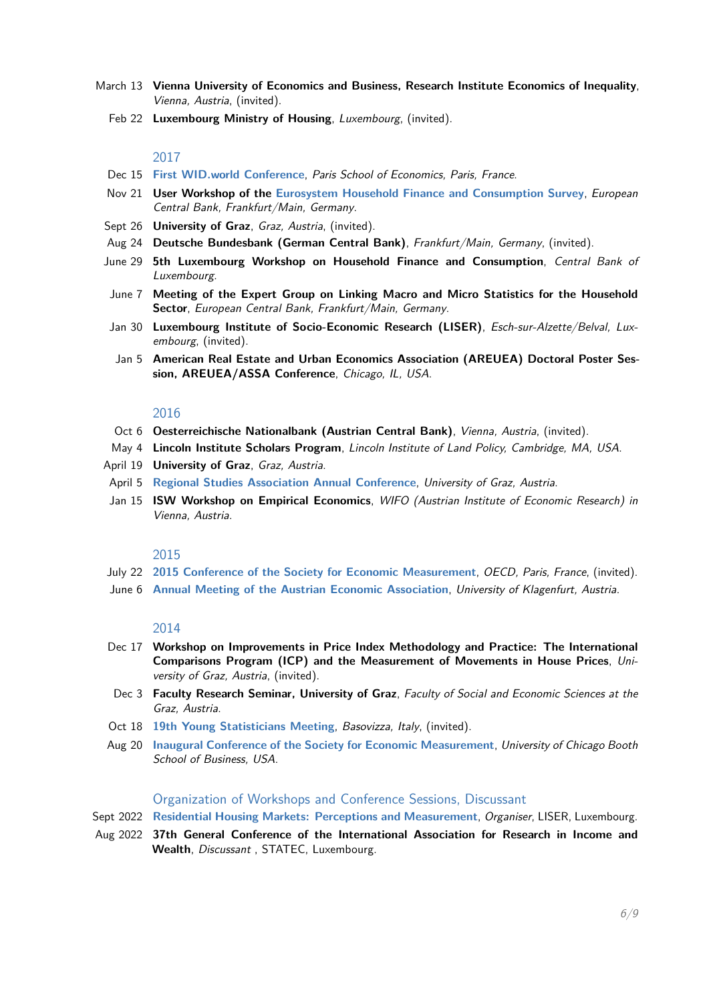- March 13 **Vienna University of Economics and Business, Research Institute Economics of Inequality**, Vienna, Austria, (invited).
	- Feb 22 **Luxembourg Ministry of Housing**, Luxembourg, (invited).

#### 2017

- Dec 15 **[First WID.world Conference](http://www.wid.world/wp-content/uploads/2017/09/First_WIDworld_Conference_Program.pdf )**, Paris School of Economics, Paris, France.
- Nov 21 **User Workshop of the [Eurosystem Household Finance and Consumption Survey](https://www.ecb.europa.eu/pub/economic-research/research-networks/html/researcher_hfcn.en.html)**, European Central Bank, Frankfurt/Main, Germany.
- Sept 26 **University of Graz**, Graz, Austria, (invited).
- Aug 24 **Deutsche Bundesbank (German Central Bank)**, Frankfurt/Main, Germany, (invited).
- June 29 **5th Luxembourg Workshop on Household Finance and Consumption**, Central Bank of Luxembourg.
- June 7 **Meeting of the Expert Group on Linking Macro and Micro Statistics for the Household Sector**, European Central Bank, Frankfurt/Main, Germany.
- Jan 30 **Luxembourg Institute of Socio-Economic Research (LISER)**, Esch-sur-Alzette/Belval, Luxembourg, (invited).
- Jan 5 **American Real Estate and Urban Economics Association (AREUEA) Doctoral Poster Session, AREUEA/ASSA Conference**, Chicago, IL, USA.

#### 2016

- Oct 6 **Oesterreichische Nationalbank (Austrian Central Bank)**, Vienna, Austria, (invited).
- May 4 **Lincoln Institute Scholars Program**, Lincoln Institute of Land Policy, Cambridge, MA, USA.
- April 19 **University of Graz**, Graz, Austria.
- April 5 **[Regional Studies Association Annual Conference](http://www.regionalstudies.org/conferences/conference/building-bridges-cities-and-regions-in-a-transnational-world )**, University of Graz, Austria.
- Jan 15 **ISW Workshop on Empirical Economics**, WIFO (Austrian Institute of Economic Research) in Vienna, Austria.

#### 2015

- July 22 **[2015 Conference of the Society for Economic Measurement](http://sem.society.cmu.edu/conference2.html)**, OECD, Paris, France, (invited).
- June 6 **[Annual Meeting of the Austrian Economic Association](http://www.uni-klu.ac.at/vwl/inhalt/833.htm)**, University of Klagenfurt, Austria.

#### 2014

- Dec 17 **Workshop on Improvements in Price Index Methodology and Practice: The International Comparisons Program (ICP) and the Measurement of Movements in House Prices**, University of Graz, Austria, (invited).
- Dec 3 **Faculty Research Seminar, University of Graz**, Faculty of Social and Economic Sciences at the Graz, Austria.
- Oct 18 **[19th Young Statisticians Meeting](http://www.dctv.unipd.it/19th-young-statisticians-meeting)**, Basovizza, Italy, (invited).
- Aug 20 **[Inaugural Conference of the Society for Economic Measurement](http://sem.society.cmu.edu/conference1.html)**, University of Chicago Booth School of Business, USA.

#### Organization of Workshops and Conference Sessions, Discussant

- Sept 2022 **[Residential Housing Markets: Perceptions and Measurement](https://www.liser.lu/?type=news&id=2231)**, Organiser, LISER, Luxembourg.
- Aug 2022 **37th General Conference of the International Association for Research in Income and Wealth**, Discussant , STATEC, Luxembourg.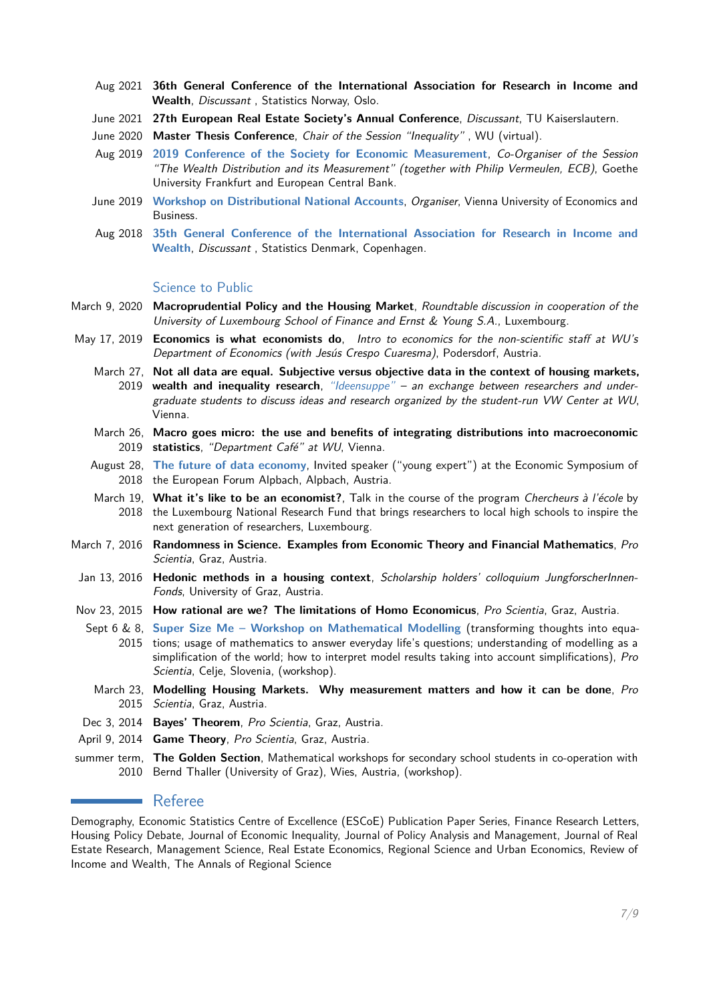- Aug 2021 **36th General Conference of the International Association for Research in Income and Wealth**, Discussant , Statistics Norway, Oslo.
- June 2021 **27th European Real Estate Society's Annual Conference**, Discussant, TU Kaiserslautern.
- June 2020 **Master Thesis Conference**, Chair of the Session "Inequality" , WU (virtual).
- Aug 2019 **[2019 Conference of the Society for Economic Measurement](https://sem.society.cmu.edu/Frankfurt.html)**, Co-Organiser of the Session "The Wealth Distribution and its Measurement" (together with Philip Vermeulen, ECB), Goethe University Frankfurt and European Central Bank.
- June 2019 **[Workshop on Distributional National Accounts](https://www.wu.ac.at/ineq/events/dina)**, Organiser, Vienna University of Economics and Business.
- Aug 2018 **[35th General Conference of the International Association for Research in Income and](http://www.iariw.org/c2018copenhagen.php) [Wealth](http://www.iariw.org/c2018copenhagen.php)**, Discussant , Statistics Denmark, Copenhagen.

#### Science to Public

- March 9, 2020 **Macroprudential Policy and the Housing Market**, Roundtable discussion in cooperation of the University of Luxembourg School of Finance and Ernst & Young S.A., Luxembourg.
- May 17, 2019 **Economics is what economists do**, Intro to economics for the non-scientific staff at WU's Department of Economics (with Jesús Crespo Cuaresma), Podersdorf, Austria.
	- March 27, **Not all data are equal. Subjective versus objective data in the context of housing markets,** 2019 **wealth and inequality research**, ["Ideensuppe"](https://www.evensi.com/ideensuppe-mit-sofie-waltl-vw-zentrum/296879111) – an exchange between researchers and undergraduate students to discuss ideas and research organized by the student-run VW Center at WU, Vienna.
	- March 26, **Macro goes micro: the use and benefits of integrating distributions into macroeconomic** 2019 **statistics**, "Department Café" at WU, Vienna.
	- August 28, **[The future of data economy](https://www.alpbach.org/en/session/ecn18-the-future-of-data-economy-08-28-04-00/)**, Invited speaker ("young expert") at the Economic Symposium of 2018 the European Forum Alpbach, Alpbach, Austria.
	- March 19, **What it's like to be an economist?**, Talk in the course of the program Chercheurs à l'école by 2018 the Luxembourg National Research Fund that brings researchers to local high schools to inspire the next generation of researchers, Luxembourg.
- March 7, 2016 **Randomness in Science. Examples from Economic Theory and Financial Mathematics**, Pro Scientia, Graz, Austria.
- Jan 13, 2016 Hedonic methods in a housing context, Scholarship holders' colloquium JungforscherInnen-Fonds, University of Graz, Austria.
- Nov 23, 2015 **How rational are we? The limitations of Homo Economicus**, Pro Scientia, Graz, Austria.
	- Sept 6 & 8, **[Super Size Me Workshop on Mathematical Modelling](https://imsc.uni-graz.at/keeling/vortraege/KeelingProScientia.pdf)** (transforming thoughts into equa-2015 tions; usage of mathematics to answer everyday life's questions; understanding of modelling as a simplification of the world; how to interpret model results taking into account simplifications), Pro Scientia, Celje, Slovenia, (workshop).
	- March 23, Modelling Housing Markets. Why measurement matters and how it can be done, Pro 2015 Scientia, Graz, Austria.
- Dec 3, 2014 **Bayes' Theorem**, Pro Scientia, Graz, Austria.
- April 9, 2014 **Game Theory**, Pro Scientia, Graz, Austria.
- summer term, **The Golden Section**, Mathematical workshops for secondary school students in co-operation with 2010 Bernd Thaller (University of Graz), Wies, Austria, (workshop).

#### **Referee**

Demography, Economic Statistics Centre of Excellence (ESCoE) Publication Paper Series, Finance Research Letters, Housing Policy Debate, Journal of Economic Inequality, Journal of Policy Analysis and Management, Journal of Real Estate Research, Management Science, Real Estate Economics, Regional Science and Urban Economics, Review of Income and Wealth, The Annals of Regional Science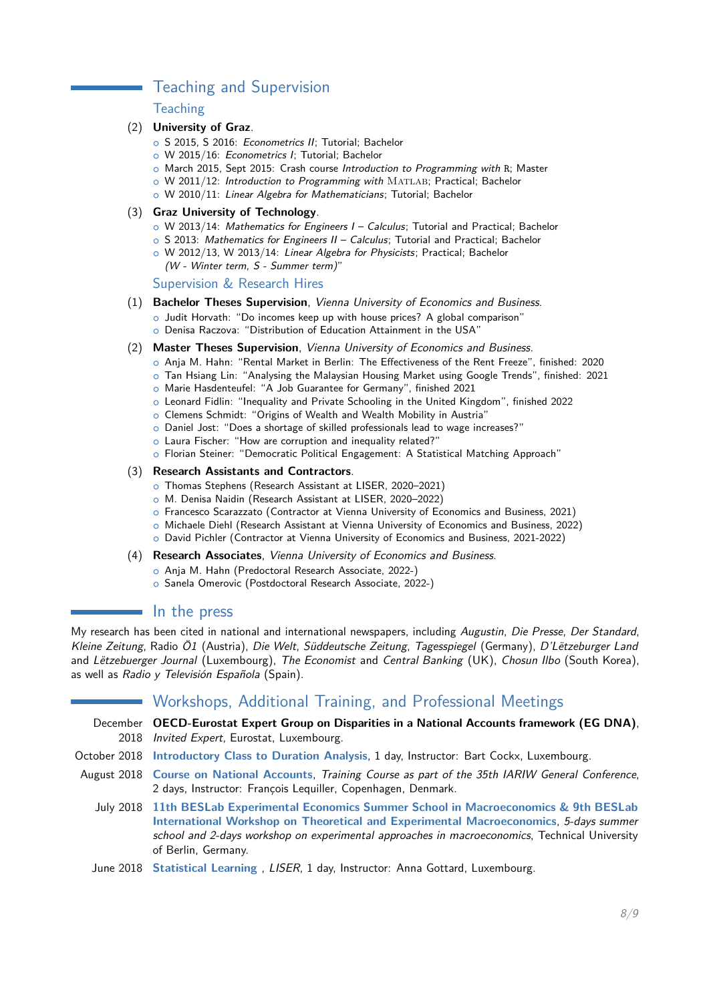## Teaching and Supervision

#### **Teaching**

#### (2) **University of Graz**.

- o S 2015, S 2016: Econometrics II: Tutorial: Bachelor
- o W 2015/16: Econometrics I; Tutorial; Bachelor
- o March 2015, Sept 2015: Crash course Introduction to Programming with R; Master
- o W 2011/12: Introduction to Programming with MATLAB; Practical; Bachelor
- o W 2010/11: Linear Algebra for Mathematicians; Tutorial; Bachelor

#### (3) **Graz University of Technology**.

- $\circ$  W 2013/14: Mathematics for Engineers I Calculus; Tutorial and Practical; Bachelor
- o S 2013: Mathematics for Engineers II Calculus; Tutorial and Practical; Bachelor
- o W 2012/13, W 2013/14: Linear Algebra for Physicists; Practical; Bachelor (W - Winter term, S - Summer term)"

Supervision & Research Hires

- (1) **Bachelor Theses Supervision**, Vienna University of Economics and Business.
	- o Judit Horvath: "Do incomes keep up with house prices? A global comparison"
	- o Denisa Raczova: "Distribution of Education Attainment in the USA"
- (2) **Master Theses Supervision**, Vienna University of Economics and Business.
	- o Anja M. Hahn: "Rental Market in Berlin: The Effectiveness of the Rent Freeze", finished: 2020
	- o Tan Hsiang Lin: "Analysing the Malaysian Housing Market using Google Trends", finished: 2021 o Marie Hasdenteufel: "A Job Guarantee for Germany", finished 2021
	- o Leonard Fidlin: "Inequality and Private Schooling in the United Kingdom", finished 2022
	- o Clemens Schmidt: "Origins of Wealth and Wealth Mobility in Austria"
	- o Daniel Jost: "Does a shortage of skilled professionals lead to wage increases?"
	- o Laura Fischer: "How are corruption and inequality related?"
	- o Florian Steiner: "Democratic Political Engagement: A Statistical Matching Approach"

#### (3) **Research Assistants and Contractors**.

- o Thomas Stephens (Research Assistant at LISER, 2020–2021)
- o M. Denisa Naidin (Research Assistant at LISER, 2020–2022)
- o Francesco Scarazzato (Contractor at Vienna University of Economics and Business, 2021)
- o Michaele Diehl (Research Assistant at Vienna University of Economics and Business, 2022)
- o David Pichler (Contractor at Vienna University of Economics and Business, 2021-2022)
- (4) **Research Associates**, Vienna University of Economics and Business.
	- o Anja M. Hahn (Predoctoral Research Associate, 2022-)
	- o Sanela Omerovic (Postdoctoral Research Associate, 2022-)

#### $\blacksquare$  In the press

My research has been cited in national and international newspapers, including Augustin, Die Presse, Der Standard, Kleine Zeitung, Radio Ö1 (Austria), Die Welt, Süddeutsche Zeitung, Tagesspiegel (Germany), D'Lëtzeburger Land and Lëtzebuerger Journal (Luxembourg), The Economist and Central Banking (UK), Chosun Ilbo (South Korea), as well as Radio y Televisión Española (Spain).

## Workshops, Additional Training, and Professional Meetings

- December **OECD-Eurostat Expert Group on Disparities in a National Accounts framework (EG DNA)**, 2018 Invited Expert, Eurostat, Luxembourg.
- October 2018 **[Introductory Class to Duration Analysis](https://www.liser.lu/?type=module&id=100&tmp=2791)**, 1 day, Instructor: Bart Cockx, Luxembourg.
- August 2018 **[Course on National Accounts](http://www.iariw.org/training2018.php)**, Training Course as part of the 35th IARIW General Conference, 2 days, Instructor: François Lequiller, Copenhagen, Denmark.
	- July 2018 **[11th BESLab Experimental Economics Summer School in Macroeconomics & 9th BESLab](https://www.upf.edu/leex/events/bleess_2018/index.html) [International Workshop on Theoretical and Experimental Macroeconomics](https://www.upf.edu/leex/events/bleess_2018/index.html)**, 5-days summer school and 2-days workshop on experimental approaches in macroeconomics, Technical University of Berlin, Germany.
	- June 2018 **[Statistical Learning](https://www.liser.lu/?type=news&id=1547)** , LISER, 1 day, Instructor: Anna Gottard, Luxembourg.